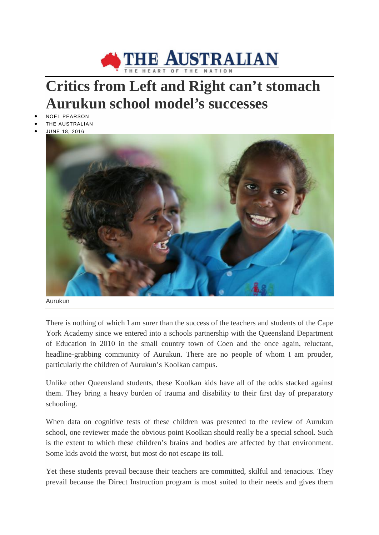

## **Critics from Left and Right can't stomach Aurukun school model's successes**

- NOEL PEARSON
- THE AUSTRALIAN
- JUNE 18, 2016



Aurukun

There is nothing of which I am surer than the success of the teachers and students of the Cape York Academy since we entered into a schools partnership with the Queensland Department of Education in 2010 in the small country town of Coen and the once again, reluctant, headline-grabbing community of Aurukun. There are no people of whom I am prouder, particularly the children of Aurukun's Koolkan campus.

Unlike other Queensland students, these Koolkan kids have all of the odds stacked against them. They bring a heavy burden of trauma and disability to their first day of preparatory schooling.

When data on cognitive tests of these children was presented to the review of Aurukun school, one reviewer made the obvious point Koolkan should really be a special school. Such is the extent to which these children's brains and bodies are affected by that environment. Some kids avoid the worst, but most do not escape its toll.

Yet these students prevail because their teachers are committed, skilful and tenacious. They prevail because the Direct Instruction program is most suited to their needs and gives them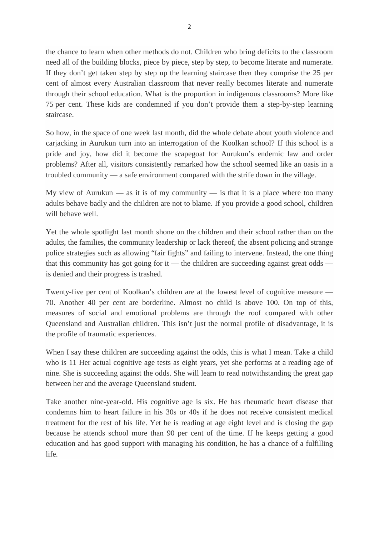the chance to learn when other methods do not. Children who bring deficits to the classroom need all of the building blocks, piece by piece, step by step, to become literate and numerate. If they don't get taken step by step up the learning staircase then they comprise the 25 per cent of almost every Australian classroom that never really becomes literate and numerate through their school education. What is the proportion in indigenous classrooms? More like 75 per cent. These kids are condemned if you don't provide them a step-by-step learning staircase.

So how, in the space of one week last month, did the whole debate about youth violence and carjacking in Aurukun turn into an interrogation of the Koolkan school? If this school is a pride and joy, how did it become the scapegoat for Aurukun's endemic law and order problems? After all, visitors consistently remarked how the school seemed like an oasis in a troubled community — a safe environment compared with the strife down in the village.

My view of Aurukun — as it is of my community — is that it is a place where too many adults behave badly and the children are not to blame. If you provide a good school, children will behave well.

Yet the whole spotlight last month shone on the children and their school rather than on the adults, the families, the community leadership or lack thereof, the absent policing and strange police strategies such as allowing "fair fights" and failing to intervene. Instead, the one thing that this community has got going for it — the children are succeeding against great odds is denied and their progress is trashed.

Twenty-five per cent of Koolkan's children are at the lowest level of cognitive measure — 70. Another 40 per cent are borderline. Almost no child is above 100. On top of this, measures of social and emotional problems are through the roof compared with other Queensland and Australian children. This isn't just the normal profile of disadvantage, it is the profile of traumatic experiences.

When I say these children are succeeding against the odds, this is what I mean. Take a child who is 11 Her actual cognitive age tests as eight years, yet she performs at a reading age of nine. She is succeeding against the odds. She will learn to read notwithstanding the great gap between her and the average Queensland student.

Take another nine-year-old. His cognitive age is six. He has rheumatic heart disease that condemns him to heart failure in his 30s or 40s if he does not receive consistent medical treatment for the rest of his life. Yet he is reading at age eight level and is closing the gap because he attends school more than 90 per cent of the time. If he keeps getting a good education and has good support with managing his condition, he has a chance of a fulfilling life.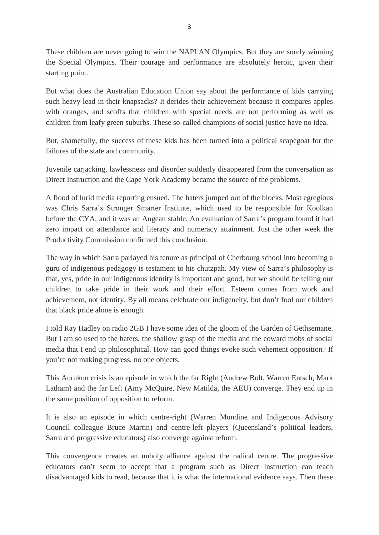These children are never going to win the NAPLAN Olympics. But they are surely winning the Special Olympics. Their courage and performance are absolutely heroic, given their starting point.

But what does the Australian Education Union say about the performance of kids carrying such heavy lead in their knapsacks? It derides their achievement because it compares apples with oranges, and scoffs that children with special needs are not performing as well as children from leafy green suburbs. These so-called champions of social justice have no idea.

But, shamefully, the success of these kids has been turned into a political scapegoat for the failures of the state and community.

Juvenile carjacking, lawlessness and disorder suddenly disappeared from the conversation as Direct Instruction and the Cape York Academy became the source of the problems.

A flood of lurid media reporting ensued. The haters jumped out of the blocks. Most egregious was Chris Sarra's Stronger Smarter Institute, which used to be responsible for Koolkan before the CYA, and it was an Augean stable. An evaluation of Sarra's program found it had zero impact on attendance and literacy and numeracy attainment. Just the other week the Productivity Commission confirmed this conclusion.

The way in which Sarra parlayed his tenure as principal of Cherbourg school into becoming a guru of indigenous pedagogy is testament to his chutzpah. My view of Sarra's philosophy is that, yes, pride in our indigenous identity is important and good, but we should be telling our children to take pride in their work and their effort. Esteem comes from work and achievement, not identity. By all means celebrate our indigeneity, but don't fool our children that black pride alone is enough.

I told Ray Hadley on radio 2GB I have some idea of the gloom of the Garden of Gethsemane. But I am so used to the haters, the shallow grasp of the media and the coward mobs of social media that I end up philosophical. How can good things evoke such vehement opposition? If you're not making progress, no one objects.

This Aurukun crisis is an episode in which the far Right (Andrew Bolt, Warren Entsch, Mark Latham) and the far Left (Amy McQuire, New Matilda, the AEU) converge. They end up in the same position of opposition to reform.

It is also an episode in which centre-right (Warren Mundine and Indigenous Advisory Council colleague Bruce Martin) and centre-left players (Queensland's political leaders, Sarra and progressive educators) also converge against reform.

This convergence creates an unholy alliance against the radical centre. The progressive educators can't seem to accept that a program such as Direct Instruction can teach disadvantaged kids to read, because that it is what the international evidence says. Then these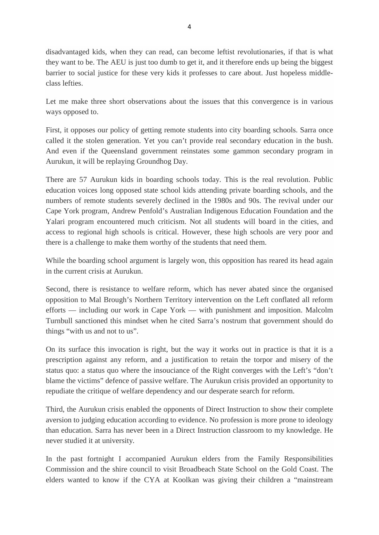disadvantaged kids, when they can read, can become leftist revolutionaries, if that is what they want to be. The AEU is just too dumb to get it, and it therefore ends up being the biggest barrier to social justice for these very kids it professes to care about. Just hopeless middleclass lefties.

Let me make three short observations about the issues that this convergence is in various ways opposed to.

First, it opposes our policy of getting remote students into city boarding schools. Sarra once called it the stolen generation. Yet you can't provide real secondary education in the bush. And even if the Queensland government reinstates some gammon secondary program in Aurukun, it will be replaying Groundhog Day.

There are 57 Aurukun kids in boarding schools today. This is the real revolution. Public education voices long opposed state school kids attending private boarding schools, and the numbers of remote students severely declined in the 1980s and 90s. The revival under our Cape York program, Andrew Penfold's Australian Indigenous Education Foundation and the Yalari program encountered much criticism. Not all students will board in the cities, and access to regional high schools is critical. However, these high schools are very poor and there is a challenge to make them worthy of the students that need them.

While the boarding school argument is largely won, this opposition has reared its head again in the current crisis at Aurukun.

Second, there is resistance to welfare reform, which has never abated since the organised opposition to Mal Brough's Northern Territory intervention on the Left conflated all reform efforts — including our work in Cape York — with punishment and imposition. Malcolm Turnbull sanctioned this mindset when he cited Sarra's nostrum that government should do things "with us and not to us".

On its surface this invocation is right, but the way it works out in practice is that it is a prescription against any reform, and a justification to retain the torpor and misery of the status quo: a status quo where the insouciance of the Right converges with the Left's "don't blame the victims" defence of passive welfare. The Aurukun crisis provided an opportunity to repudiate the critique of welfare dependency and our desperate search for reform.

Third, the Aurukun crisis enabled the opponents of Direct Instruction to show their complete aversion to judging education according to evidence. No profession is more prone to ideology than education. Sarra has never been in a Direct Instruction classroom to my knowledge. He never studied it at university.

In the past fortnight I accompanied Aurukun elders from the Family Responsibilities Commission and the shire council to visit Broadbeach State School on the Gold Coast. The elders wanted to know if the CYA at Koolkan was giving their children a "mainstream